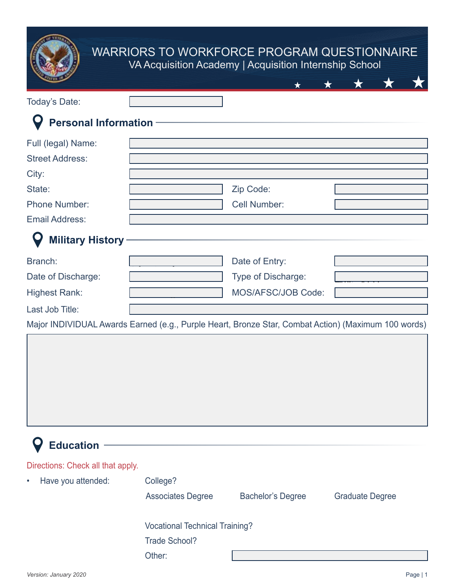|                             | <b>WARRIORS TO WORKFORCE PROGRAM QUESTIONNAIRE</b><br>VA Acquisition Academy   Acquisition Internship School |                     |  |  |
|-----------------------------|--------------------------------------------------------------------------------------------------------------|---------------------|--|--|
|                             |                                                                                                              |                     |  |  |
| Today's Date:               |                                                                                                              |                     |  |  |
| <b>Personal Information</b> |                                                                                                              |                     |  |  |
| Full (legal) Name:          |                                                                                                              |                     |  |  |
| <b>Street Address:</b>      |                                                                                                              |                     |  |  |
| City:                       |                                                                                                              |                     |  |  |
| State:                      |                                                                                                              | Zip Code:           |  |  |
| <b>Phone Number:</b>        |                                                                                                              | <b>Cell Number:</b> |  |  |
| <b>Email Address:</b>       |                                                                                                              |                     |  |  |
| <b>Military History</b>     |                                                                                                              |                     |  |  |
| Branch:                     |                                                                                                              | Date of Entry:      |  |  |
| Date of Discharge:          |                                                                                                              | Type of Discharge:  |  |  |
| <b>Highest Rank:</b>        |                                                                                                              | MOS/AFSC/JOB Code:  |  |  |
| Last Job Title:             |                                                                                                              |                     |  |  |

Major INDIVIDUAL Awards Earned (e.g., Purple Heart, Bronze Star, Combat Action) (Maximum 100 words)

| <b>Education</b>                  |                                       |                          |                        |  |  |
|-----------------------------------|---------------------------------------|--------------------------|------------------------|--|--|
| Directions: Check all that apply. |                                       |                          |                        |  |  |
| Have you attended:<br>$\bullet$   | College?                              |                          |                        |  |  |
|                                   | <b>Associates Degree</b>              | <b>Bachelor's Degree</b> | <b>Graduate Degree</b> |  |  |
|                                   | <b>Vocational Technical Training?</b> |                          |                        |  |  |
|                                   | Trade School?                         |                          |                        |  |  |
|                                   | Other:                                |                          |                        |  |  |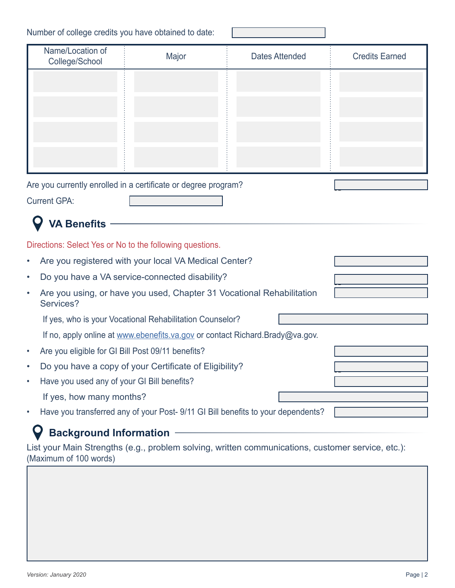Number of college credits you have obtained to date:

| Name/Location of<br>College/School                                                              | Major                                                    | <b>Dates Attended</b>                                                            | <b>Credits Earned</b> |  |  |  |  |
|-------------------------------------------------------------------------------------------------|----------------------------------------------------------|----------------------------------------------------------------------------------|-----------------------|--|--|--|--|
|                                                                                                 |                                                          |                                                                                  |                       |  |  |  |  |
|                                                                                                 |                                                          |                                                                                  |                       |  |  |  |  |
|                                                                                                 |                                                          |                                                                                  |                       |  |  |  |  |
|                                                                                                 |                                                          |                                                                                  |                       |  |  |  |  |
|                                                                                                 |                                                          |                                                                                  |                       |  |  |  |  |
|                                                                                                 |                                                          |                                                                                  |                       |  |  |  |  |
| Are you currently enrolled in a certificate or degree program?                                  |                                                          |                                                                                  |                       |  |  |  |  |
| <b>Current GPA:</b>                                                                             |                                                          |                                                                                  |                       |  |  |  |  |
|                                                                                                 |                                                          |                                                                                  |                       |  |  |  |  |
| <b>VA Benefits</b>                                                                              |                                                          |                                                                                  |                       |  |  |  |  |
| Directions: Select Yes or No to the following questions.                                        |                                                          |                                                                                  |                       |  |  |  |  |
| ٠                                                                                               | Are you registered with your local VA Medical Center?    |                                                                                  |                       |  |  |  |  |
| Do you have a VA service-connected disability?<br>٠                                             |                                                          |                                                                                  |                       |  |  |  |  |
| Are you using, or have you used, Chapter 31 Vocational Rehabilitation<br>$\bullet$<br>Services? |                                                          |                                                                                  |                       |  |  |  |  |
|                                                                                                 | If yes, who is your Vocational Rehabilitation Counselor? |                                                                                  |                       |  |  |  |  |
| If no, apply online at www.ebenefits.va.gov or contact Richard.Brady@va.gov.                    |                                                          |                                                                                  |                       |  |  |  |  |
| Are you eligible for GI Bill Post 09/11 benefits?<br>$\bullet$                                  |                                                          |                                                                                  |                       |  |  |  |  |
| Do you have a copy of your Certificate of Eligibility?                                          |                                                          |                                                                                  |                       |  |  |  |  |
| Have you used any of your GI Bill benefits?                                                     |                                                          |                                                                                  |                       |  |  |  |  |
| If yes, how many months?                                                                        |                                                          |                                                                                  |                       |  |  |  |  |
| $\bullet$                                                                                       |                                                          | Have you transferred any of your Post- 9/11 GI Bill benefits to your dependents? |                       |  |  |  |  |

L

## **Background Information**  $\mathbf Q$

List your Main Strengths (e.g., problem solving, written communications, customer service, etc.): (Maximum of 100 words)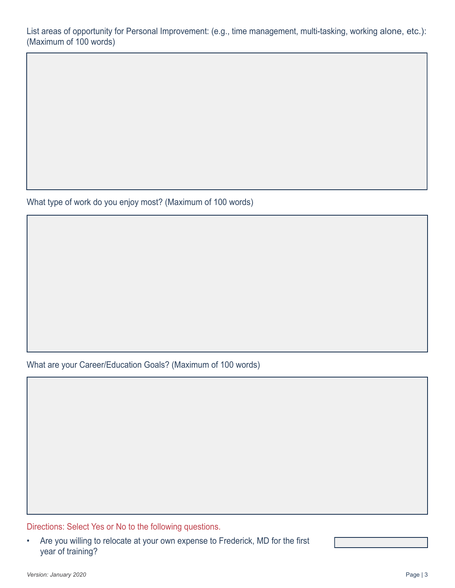List areas of opportunity for Personal Improvement: (e.g., time management, multi-tasking, working alone, etc.): (Maximum of 100 words)

What type of work do you enjoy most? (Maximum of 100 words)

What are your Career/Education Goals? (Maximum of 100 words)

Directions: Select Yes or No to the following questions.

• Are you willing to relocate at your own expense to Frederick, MD for the first year of training?

Yes No